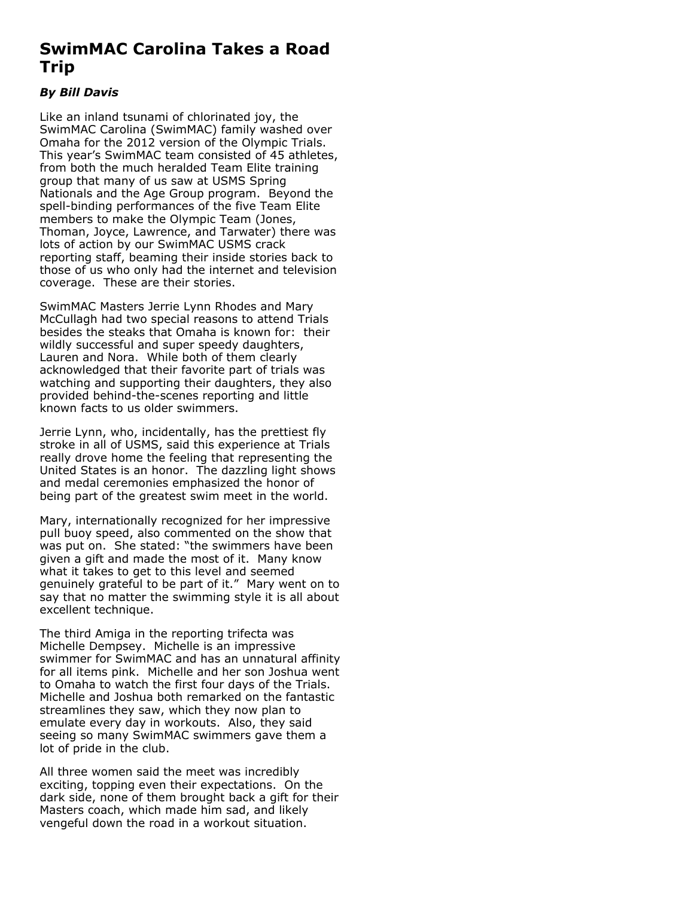## **SwimMAC Carolina Takes a Road Trip**

## *By Bill Davis*

Like an inland tsunami of chlorinated joy, the SwimMAC Carolina (SwimMAC) family washed over Omaha for the 2012 version of the Olympic Trials. This year's SwimMAC team consisted of 45 athletes, from both the much heralded Team Elite training group that many of us saw at USMS Spring Nationals and the Age Group program. Beyond the spell-binding performances of the five Team Elite members to make the Olympic Team (Jones, Thoman, Joyce, Lawrence, and Tarwater) there was lots of action by our SwimMAC USMS crack reporting staff, beaming their inside stories back to those of us who only had the internet and television coverage. These are their stories.

SwimMAC Masters Jerrie Lynn Rhodes and Mary McCullagh had two special reasons to attend Trials besides the steaks that Omaha is known for: their wildly successful and super speedy daughters, Lauren and Nora. While both of them clearly acknowledged that their favorite part of trials was watching and supporting their daughters, they also provided behind-the-scenes reporting and little known facts to us older swimmers.

Jerrie Lynn, who, incidentally, has the prettiest fly stroke in all of USMS, said this experience at Trials really drove home the feeling that representing the United States is an honor. The dazzling light shows and medal ceremonies emphasized the honor of being part of the greatest swim meet in the world.

Mary, internationally recognized for her impressive pull buoy speed, also commented on the show that was put on. She stated: "the swimmers have been given a gift and made the most of it. Many know what it takes to get to this level and seemed genuinely grateful to be part of it." Mary went on to say that no matter the swimming style it is all about excellent technique.

The third Amiga in the reporting trifecta was Michelle Dempsey. Michelle is an impressive swimmer for SwimMAC and has an unnatural affinity for all items pink. Michelle and her son Joshua went to Omaha to watch the first four days of the Trials. Michelle and Joshua both remarked on the fantastic streamlines they saw, which they now plan to emulate every day in workouts. Also, they said seeing so many SwimMAC swimmers gave them a lot of pride in the club.

All three women said the meet was incredibly exciting, topping even their expectations. On the dark side, none of them brought back a gift for their Masters coach, which made him sad, and likely vengeful down the road in a workout situation.